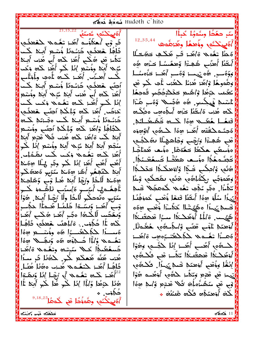Hudoth c`hito نُه kُه لَهُ kُ أَمَّرِ حَمَّجًا وِمُحَوَّلٍ جُرِيَّا بْنَمْ رِمْكُرِ وَأَ  $^{12,35,44}$ وذُهمًا وهُزهُهه  $^{12,35,44}$ كَبِرَوْمٍ أَهلَكُوْسَهِ أَهُد: تَهُـه لا لاهْتِدْهِ، دَٰلَهُآ هَعذُور دَٰنُدَنَا ۥ مُسْعِر أَبِنا كُـٰب أَهْمَلْا تَعُمِيهِ وَأَهَدَ ثَبِ هَكْلُهِا حَمَّمَتْلَل تَكَلَّمَ ثَكِمٍ مُكْتُبٍ أُهَدَ كَدَهٍ أَبِي هُدَبٍ أَسِكَ أَمْثَلُا أُهَّنَى هُجَـٰٓٓٓا وَُهِمُّسُل حَـٰٓرَه ۞هُ جُمِد أَنِدْ وَوُعْمَدٍ إِمُلْ كُبِرٍ أُهَٰذٍ كَلَّهِ وَكَب<br>كُـــ أَهــَـنَى أُهَدٍ: كَــهِ نُأهب وأَوْنُلَــح<br>إَجِنَّــم هُعَدٍّــهِ خَاسُوبًا وُعْــم إِنــٰدْ كَـــــ وَوَّەَـــِر. ۞ه يَحِــز وَّەُـــِر أَهَــز حَزْهمُــأ وَهُموهُا وْٱهُدْ هُدْمًا حَعُدْتَ أَبِ حُبْرٍ مْعَ عَعَْس جَزِهُا وْاهْبِم حَكَـٰتَزِجُجُـنِ فُـٰمَجِعًا أُهُدْ كَمَنْ أَبْ هُدْبَ أَلِنَا يُبْلَغُ أَلِنَا وَذُمْهَا لْمَسْمِ فَيَجْتَبِي هُوَ هُجُسِلاً وَّقُسِرِ هُـْزَا إِمَا لَكِسِ أَهْدَ لَكُ، تَعْدَلَهُ وَكُمْتَ لَكُمْتَ تدنَّص أَهَٰذ لَكْ وَلِمَكُمْ أَجِنَّبِ هَعْدُومٍ لك ه هُنِ هُ/مُ*كُناْ* حَزْرَه أُمِكُره مَنْ مَثَلُـــه كَنْدَمَا ذُسْمِ أَيْنَا لَكْتَ وَقَائِلِ لَكُنَّهِ تَعمُّـا هُمَّــد «هُ| كَـــهِ خُشَمْــائِمْ. َكَجَاهَا وْاهُدْ كَلُّهِ وَلِمُكُمْ أَحِسُّ وِفُسْعِ هَجِنَّــه حَـفُنَه أُهَّــز ههُ الْحَــوَّهِ أَاؤُهوْهِ اُنِکا گُب 16ٰھُۃ گُلُو ھُۃِ۔ شَکْلا شَرْمِ اُنِکا هَــِ هُـڢــُٓ:ا و<sub>ُ</sub>رُضَــِ وَجْاههـلَّا ىهَـكِثَــهِ، مَّجْم أَي<sup>ن</sup>ا أَينا يُبْد أَينا وفُسْم إنا خُب وَمُسِعَّمٍ هَكْعُلَ حَقَّةَهَا. وَمُّبَعَد مَّحْمَلَتِّبَا اُهُ; لَكُ: تَغُدِيه وَنُكَبُّ كُنْتَ بِكَنْدَاتٍ ۖ َّكْجِئُـْمَـٰهُ\$ْ هَؤُـْـِـْمَا هَمُّتْتُـا خُسِمُّقْـَـٰٰهُۚ ۚ إِ أُهًى أُهًى أُهَٰذٍ إِنَّا كُبِرٍ وِجِّرٍ لِمَاْ وَهَٰذَا اهُنَّى وُاحِكُبِ شُكَّا وَاءَهككُمَا حَنْكَكُمَا أَيْنَا لِكَيْجَعُبِ أُهَّا هِ دَّنْنَا مُنَّى وَ دَهَنْدَبِ بْسُمْ رِكْتُمُ رِكَةُ لِمِنْهُ رِهِ مُهْلِيَةٍ وَعُمْلَا وَعُمْلِكَمْ وَعُمْلِكَمْ هِهَنا لَالظُ وَرُجًا أَبَنا هُـا وَبِ وَهَاجَنا تَكَلَّزُا, وَجَرٍ تُكْلِبَ تَعْوِيلًا كَوْهِجُلًا خَيْجًا َأَهِمُّـه} أُبَّ بِ وَإِسْتَها لَاهْـه:<br>مَّتَّهِرِ وَنَوْحَكُّبِ لَاحُا وِلَّا رُضَا أَبِـٰهَ فَوْا يَّداً مُلَّاز 30\$ أَمْثَلُّا ثَنقا زُمْبٍ كُدوْفُلًا وْبِ أَهَدٍ وَسَمْـةَا خَاسُـا هَــفأَا حَجَّـــزِ مَفْعِيدًا مَعَيْنَةِ السَّنْفَةِ مِنْ مَعْهَ مِنْ مِنْ مِنْ وَٰىفَکَب لَالْکُھُا ہجَہِ ٱهَٰذِ ھُکُب ٱهَٰذِ ٰ هَيُــب وْالْمِلْمِ أُوْهَدْــٰٰهُا مِنْـبِرَا هُـْعَقَّـٰـٰهُا لَّكُلُّ مَا حُكْفٍ. وَ} الْعَلَى هَعْدُو ۚ وَاهُـا أُوْهِكُمْ لْمُؤْبِ قْعَنُبِ وُّامِكُمْمِثُوبِ هُهُدَىٰٓاْلِ هُمسأل للأَملِكَمسِيرًا هُو وُوُسْسِعِ هِوَاْ ةهدأا تعُسمنا للأبلكعَّتيَّةِ وهب ةاهَد; تَمُّـــه \$إِلْمَا حُــجْوَة ۞ هُ وَبِكَـــهِ وَهَا لِكَــِدِّهِ لَا أَهْلِــَـ إِنَّا لِكَـِّــَـهِ وَهُوَا كَسْمُعَكِّمَا كَمَلًا مُبْرِسُهِ وِتْغُدِيدٌ ةَاهُدَ: أَوْهَٰكَـٰٰٰٰٰٰٓٓٓٓا مُعْصَّلُہٗ کَلَّٰہٗ تَیْہُ وَجَالَٰہٗ مَی هُذِب هُنُه هُـمثُـُـم كُبرٍ. كَـهُ مُا كَبِرِ مِــرًا إِنْقُا وَوَٰٓهَبِ أَوۡهَمَٰهِۚ شَمِّيَٰٓ اُ ۖ فَلَاهُمِ ۖ دَّاهُـا أَهُـ: حَتَمُّـه لا هُـ: وهُنَّا هُنُـا.  $\int_{a}^{a}$ مَد:  $\mathcal{L}$  مِسْمَد $\mathcal{N}$  يُجْلُ إِثْلاَ يُعْمَدُ يَ مَعْ هُتِرِهِ وَخَذَمَ حَدَّهُ وَ أَوْهُمِهِ لَلْمُحَمَّدِ الْمَوْرَ فِي هُي مُنصُّنُومُأَهُ ثَلا هُدْمٍ وَّامِمْ هَوْا هُنَا حَرَهُا وُ}ِيًّا }ِنَا كُبِ هِّا كُبِ أَنِهِ أَنِهِ £َا ئىگەنى ھ ِكْرَة أُوْهِكَيْرَة قُلْحَة هَ*نْتُرَة \**  $\delta$ ەن ئىگەن بۇ ئىلىنىڭ ئى كلفتك لموب وكونك  $\pi$ an $\leq 11$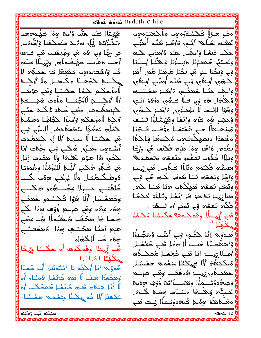Francis Hudoth c'hito هَيَّ ثَالَ حَبَّ هَنَّ وَمَدْ هِ وَالْمَرْ هَذَا حَدَّ وَه ەكْبِر ھۇلا كُكْشَةوُەھە ەلمُكْفَنْبُوھە هَنّهُٰٓئُهُمْ لَمَلُو 10\$مِ حَثَمَكَٰتُمْ وَاتِّحُمَٰتِ كَنْفَــَرَّهُ ـَمَــاْلِلاً أَنَّــَى ۚ ةَاهَــٰ: هَنَّــَهُ أُهَّنَبَ كُمْ رَجُلَ فِي 5َهِ مَعْ وَهَٰئِكْتَ قَدْ حَـٰٓئِكَ حكَّد قَبْضًا وَّأَسَلَّمَا. حَتَّم ةُأَهْنَى كَلَّه وَحْمَمَٰلُ مُحْمَدُ إِنَّا هَ إِسْتُرْا وَّكْتُمَا إِسْتُرْا أهب هُجَّاب حَكْمَحْمِلُهِ. وَيُهَلَّا حَـَّاهِ َوْمٍ وَّىشَاْ سَرِ هَى بِجَبَا هَرِهُمَا هُمْ أَهَدَ تُب وْاهْدَ; و ما حكْمْهَا دُ: هُدِ الله لْ حكماً لأه لم كبرهُك انْكَبِهِم الله على الله عنه الله عنه الله عنه الله عنه الله عنه الله عنه الله ع لحَدُّهِ أَيَـٰٰكُمْ ۚ وَجِي هَٰنُـَهُ أُهْنَى ابَـٰكُمْ ۖ لأوؤهكم حكل مكتشا وهي مرضت وَٱللَّهَ حَلَىٰلٌ هَعَنُنَـ ٥ أَلَّامَ عَمَّسْـ ٥ ٱلْل ٱآلكــــــــــم لِّلُؤُجَّــَــــــل ملْمع ، هُعِــــــقَمْ أَوَّ لِلْأَهَارِ ۚ هُء فِي قِيلًا حَدَّةً مِ هَاهَٰذٍ أَنَّـهِ ۖ **∆ۆدىشەھ. ەقىي ئەيگۈ ئايگى ھئىي** وَهُوْا لِإِنَّــمَا لَا تَلْهَــزُّوبِ. وْأَهَــز حَـــوَّوبِ أآلكم لأودُهكم وْاسْرًا حْجَّاهُـا وهَـدَبِهِ وَّحِكُمِ هُو حَزْهِ وَإِنُعُا وَهَيْتُ لِلَهِ لَسَمِعَهِ لِكَهْلُوهِ مَعْقُدًا مَعْتَدَهُمْ حَمَّدَ. لَاسْتُم وْبِ هُوتَهِــٰذَالَا هُبِ هَمُّتَهْــا هَوَّخُــب صُــةَتَالَ هَم حكَّتتا لًا سنَّبِّ ٱللَّهُ لَكَحْفُءَب مَعْجَزًا مَتَعَهَدُمُنَهُ مَكْتَمَعُلَ وَلِمُكُمْ أَمنُــدوهِـد وهُــَيُم. هُـحْـب وْبِ وَهُلْٓجِد إِنّا ىغُمور ەُ/هُد ھەُ/ ھېُور فَكْتُف هُي وَرُجَل لِّكْبُمِ هَٰا هِبُمِ لِّكُلُّهُا وِلًّا هِجَّۃٍ ﴾يُلْل وَلَٰٓالۡا خُكۭۡوَٰٮ لَبۡقُووۡ حَلَّٰهِۿَ۞ وَلَعۡقُدِ ۖ اهُبِهُم تُكْتُوم وتُلْبُلْ تُـكِّوْب هُم يَجِمّ هْدِ خُـٰٰٓكُمْۥ ۞ كَـٰٓبِ ٱلۡمِنۡهَا ۚ الۡلَّهُ وَالۡهُ وَهُوَءٞكُـٰا ۖ وَرُجًا وَتَحِمْمَ تَسْأَ هُدَنْهِ كُلُّهِ هَي وْب ەُوھَىگىھَنَـا. ەلَّا جُېڭى ھەَب كَــب .وَتَوْتَمِ تَجْعُرُهِ شَهْكُمِْت رَهُنُا هُشَا لَكُرُهِ َخَاقَتَـــم كَـــبُمِلَا وَجُــــوْهُو وَ هُكْــــم هُمُلْيَ مِنْ تَجْكَبُوْ خَرْ إِنْهُا وِتَـٰلِلَّوْ خُـٰلَـٰهُمْ الْمَـٰلَٰمَـٰ وَجَعِمُسُل ٱللَّا هُوٓا خَكْسُومِ هُعِنَب ثَلُّه نُهِمُه وُ نُهجُم أَه تَسطُرْ ﴾ هِهُهِ وَهُمْ هِيَسْمَ وَوْهِ هِهُمَا لَكَمْ قبي في ألم يوقّ مكتبه هكتشا وَحَدْمًا هُـمُـا هُا هِـهُـمُـٰ هُـمُثُـُـهِـاًا هُــ وَهُــع هزم أجلًا ممكَّشَفٍ وهذا. ةمعَّصِيَّى |هُــهَوِّىـه إِنَّا ـلجُــهِ ۚ وَبِ أَمْنُــب وَّهجُــزَاْ! هؤه خُب لَاعْدُهُا ﴾ وْاهِكَاحَــَٰٓيَا هُنـــا لَّا هِهَا هُــبِ خَاتُـهُــا. هُد أَيْهَٰذُا وِهُمكُمْهَ أَه هَكْسُا وَيُجَا أَهِــُلَا يَهِـــز أَنُل هَبِ خَرْبُهُــل هَٰخَـكَــٰدُوهَ  $1.11.24$   $\frac{12}{100}$ ەَحْكَفِكُمْ ٱللَّا نَجِيْجُمُّا وَيَعُمِيهِ مِعْسَسًا. أَهُدوَيِهِ إِيَّا أَيْحَيُّدِ يَا إِيِّيَّةَتَنَا، أَبِ شَعِيَّا وْهِكُمْزَا هُنْتُ لَّا هُدِهِ كَرْتُمُا هَاهْتَاهِ أَهْ وَجَّدَهُ٥وُخُـــداً! وَيُٰذُــــزُاْيُمْ وُوْفٍ 50ْمِمْ لًا أَبَلَ هـجُره مْده حُزِبُهُـا هُـعِجْكُـب أَه گے اُس وَ کُلُّے اُوا مِنْے وہ کُم کُلے۔ عَكْمَنَا أَلَّا ثُمَّ يَكْتُلُ وَتَغُمِّدَ مِمَّسْلَةٍ |ەقىللگە (ئەگىلى ئىشەۋئىمال ئىب قىل كلفتك لمَوْمو وكونك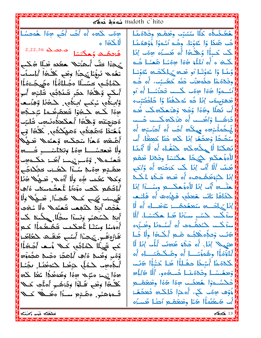| Hudoth c'hito شَم بَنْ Hudoth c'hito                                                                             |                                                                                                                                  |
|------------------------------------------------------------------------------------------------------------------|----------------------------------------------------------------------------------------------------------------------------------|
| اللَّهُ مِنْ أَوْ أَحُبْ أَحْرِ الْأَوَّةُ الْمُؤْمَنِيْ                                                         | هَقُبِيْبِهُو كُلًّا مُتَعَبُّبٍ وِقْتَصْحَ وَتَكَوَّبُنَا                                                                       |
| لَا كُهُ الْمُحْمَّاتِ                                                                                           | كُت هَٰلَكًا وَا خُوُدًا، وَكُتْ أَيُّدَوُا وُوَقِّقَائِلًا                                                                      |
| فَرْدَهُمِهِ وَحَكْتَمْلَ دَحْدَكَ 2.22.36                                                                       | لَّكُ كُبِراً وَلِلْكُوا أَوْ هُسَرَّهُ وَوَفَ إِنَّا                                                                            |
| حكة اللَّهَ عَكْمَه مَعْنَه مَعَامًا مُكْبًا إِنَّهُمْ وَالْمَسْتَمَرَّةِ مِنْهُمْ مِنْ                          | كُنْ ۞ أَهْ ٱلْمُؤْ وَاءَهُ إِلَيْهِ مَعْسًا خُتَّ                                                                               |
| تْعُدِيهِ تُرِفُهُا يُحِبُّلُ وَهْدٍ كَلَاهُا ٱلْمُسَلَّدِ                                                       | وًسُا وَا عُوُنْـا أَو قَدْهُ ﴾ الْكَنْدُهُ غَوْنُـا                                                                             |
| لِلْمُهْتِبِ حَسَّىلًا هِجَلِلْقُلَّا هِجِّجَـٰۃِهُ\$َا                                                          | وثَلاهُ مْلَا حِنُدُهُنَّ حَنَّدَ حُقَدَّتُ أَن حُد                                                                              |
| أَسْكُمِ وَجَلَاهُ! حَجَّزٍ خَسُلِاجٌو ۖ خَاجْرُهِ أَجرِ                                                         | أَشْــووُّا وْ16 (60 - كُـــب قْحَزْسُــا أَو أَو                                                                                |
| وَّابِنَاهِ يُرِكَبِ ابْنَاهِ ۖ كَاهُمَا وَجَنَّــ                                                               | هْدْمَمِيمَا إِبُلْ هُمْ شَمْلَاهُمْ وَا هَاهُنَتَهَا ﴾                                                                          |
| هِهُمْ لَكُـِهِ كُـهُوْا خَعْضُرِهُـهِ مُبْكِرِهِ                                                                | أَمَّ تَعَلَّا وَهُهُ! وَكُمْ وْفَزْهَكُوهُمْ شُدَّ                                                                              |
| ەَجوْجِئْلُه وَ لِلَاهُ   اُ هَكُعَدُهُ مُدهب خُلِيَب                                                            | دَّوْهُـــا وْاهْـــــــــه أَه هَوْݣُلُوهْكْـــــــــه هُــــــــه                                                              |
| وَمَّتْدَا هَاهَجَدُّه، هَحمَكِنَّه، ݣَلْاهُا وْبِ                                                               | مَا مَ اللَّهِ مِنْ اللَّهُ أَهَدَ أَنْ أَحَزَمَ إِلاَّ أَمَّا أَمَّا أَنَّهُ مِنْ                                               |
| أَهَىعُدُه هَمْ اسْتِكْتُمْهِ وَحَشَهْ لَا تَعْلَيْكَمْ                                                          | مَحْمَدُا وْمِحْمُرْ إِنْا ݣُلْ دْلَّا كَعِفْتًا، أَب                                                                            |
|                                                                                                                  | تَعكّنا لَا حِكْمِكُمْ حَنْفُاهُ أَه لَا أَنْسَا                                                                                 |
| تَحْمَشُمِلًا ﴾ وَهُ سِيرَ بِسِيرَ أَهُدَ حَكْمُ مِنْ                                                            | لأوؤمكم كهجًا مكتشا وثلاثا شفم                                                                                                   |
| مَطَّمْمِ مَمْدِ مُسْأَلِّكُ حَمَّدَت حَبَّكْتَبَ                                                                | هُنْ اللَّهُ إِنَّا كُتَ كَرْخُتُهِ أَهِ وَاتَّبَعَ<br>إِنَّا حَجَّوْهُدَهُــهِ مِنْ أَه قُدْرُه شَــالَام عَــادًا مَــاحَــادِ |
| وَكَمْلًا عَقَيْبٍ رَّةُهِ وَلَمْ أَأَهَىٰ فَتَحِيْظُ رَمَٰلًا وَ                                                | هتْـــرَّةُ أَنَّكَ إِنَّا لِأَوْجُهَكَـــو وَمُــــزًا إِنَّا                                                                   |
| ٱلمخَّطَعِ كَتْبَ هَوْهَٰلِمْ لْمُخْتَمِّنَكِنَّ هُ/فِ                                                           | لِكْتُلِفُلِ مُلْكُبٍ هُمِيْدُو وَهُوَ مِنْ مَعْ الْهَدَى وَ الْهَدَى                                                            |
| فَي نَ تَيْبٍ حَمْلاً هُدِءًا. مْسَوْلًا وَلَمْا                                                                 | ]ئا جاڭــــــــــو مَــُـعفـــفصـــــز لأو أ                                                                                     |
| ـَمُّجُمَّ إنما ـَكْتَفِعَمْ خَعْثُمْهَا  الْمَرْشُوبَ                                                           | سألكب لكتب سنؤثا هُدا لمكتشا، أَلَّا                                                                                             |
| أَبَيْدَ لِمَسْكُنِي الْجُمَا عَجَابَ الْمَسَاءِ لَكُمْ الْمَجَابَةِ الْمَجَابَةِ الْمَجَابَةِ الْمَ             | مِنْكُمَا لِمُحَصَّدِدِ أَنْ أُمِنُدِمًا وَهُنَّىْءُ                                                                             |
| أُوفِعُا وَمَتْلَا نُأْمَلِكْتَبَ ذُهُبَقُواْ لَكُمْ ا                                                           | وَّصَّى وَحَذِّمَكَكُمْ مَنْ أَكْتُوا وِلَا ضَا                                                                                  |
| َفَرْزُوفُسِ <sub>يُح</sub> ِبْرَا أَسِّبِ هَفَـها لِكَمَّاهَــ:                                                 | $\alpha$ مَرْ $\beta$ إِنَّا ِ. أَه شَكَّاءُ مُدهنَّب أَلَمَّت إِنَّا لَّا                                                       |
| كَبِ تَجِيلًا حَمَٰلِهُم كَحِلا وَُحِم أَجُمْهَا إِلَيْهِ<br>وَّەُ وهُــــمْ هُ/َ ٱلْمِحَـدَ وجَـــمْ عجَّووْن ا | أَمْاؤُهُ أَلِ وَهُدَوْنَــــا أَو وِهَيكَيمَنَـــاهِ أَو                                                                        |
| أَجْهُوهِ حَدَيْبٌ جَرْهُما حَدَهُنَا. بَجَّنَا                                                                  | لَكُمْمَىنُا أَجْبِخُا حَفَلِلًا هَٰـا جُـَّذُٰٓاً هَٰنَـب                                                                       |
| $\sim$ ا منْ مَجَمَد الْمِعْدَهُمْ أَمْرَهُ مَسْرًا مَعْدًا عَلَيْهِ $\sim$                                      | وْهِمُسُــا وَثَمْهُنْــا شَـــوُهُو، أَلَّا وَّايَاه                                                                            |
| كْلُدُّا وَهْبِ ۖ قُـاٰؤًا وَجُرْهُـبِ أَهَٰلُتِ كَــلا                                                          | تَكْشُدُوا هَعْكُبْ 169 166 وقَعْدَم                                                                                             |
| ثَـدوهِبُو. دهَـُـُوم مـــرًا دهَـــلًا كَـــلا                                                                  | وُوَّفَ وَوَّفَ لَكَيْ، أَوْجَرَا كَالْكُلُّهِ كُعْجُجَّةَ                                                                       |
|                                                                                                                  | أَبِ هَيَعْتُمَاْ اهْتَا وَتَعْقَبُ أَجِبًا هَيْتُو                                                                              |
| $\sqrt{4\pi^2}$ 13<br>كَنْفُتُكَ ذَهُبْ وَكُفْتُكُمْ                                                             |                                                                                                                                  |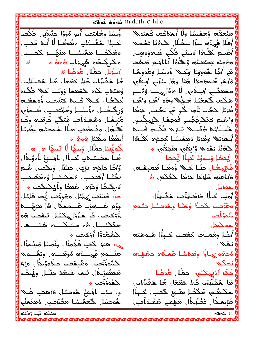Fudoth c'hito ذّْمِسُا وهُالَّتْنِي أُمِرٍ ةَوْوُا حَسُّعُى ۚ فَكُتِبِ عنْعتكُاه وُهعُسْلا وِلَّا أَحْلاَجْف خُعتُه لا لَّكِيلًا هَقَيْنُكُ وَهُوهُكُمْ لَّا أَيْكَ قَضَبَ. أَهِلًا فَيْءَ۞ سأل سجَّلًا. حَدَّمُنَا تَعْـَمَــا أَهَّـــم ۚ لَكُــُهُۥ فَسَـَـ ثَكَــ هُــهوَوهوب ەھَكْصًا ھمَسُل ھەَيَ تَحــبِ. ەھُەگ ۆَجىّھُىلە ۆللاھا اْيْلْمْقْسِر ەَيىھَب ەككوچكىشە ئەيخلە شەش ئە هْمِ أَجُلٍ هُووؤُمُلٍ وَكَــلا ۚ وَْوَسُـلٍ وَهُومِهُـلٍ إمرُبُل حمُلًا هُومُبُل هَ هُا هَفَيَٰٓات خَاءَ كَعَفَقَالَ هُـا هَفَيَّاطَبُّ. دْاهُمْ هُـدهُجهْدُ هُوْا وَهُا سُرْبٍ ابْنُدُور وُهْدُمْتِ لَدْهِ لِلْمُعْمَلِ وُوِنَت كَلَّلَا فَكُنَّهِ معُعنَىبِ ابْتُدُوبِ لَا جِوْدَانِيْمِتْ وَوَّسْتِرِ هكْم كُمْعَمّْدَ شَيْئًا وَهُمْ أَهْدَ وْأَهْدَ مُطْعُمَا. كَمِلا شَمِيم كَتْشَمْبُ وُهُمْعْتُدِهِ وُرِجُحْصًا. وذُسُسًا وهُائتصبٍ. هُــوذُور هُٰزِيُلِ لِكَهُّزِتٍ لِمُّكِ لَّكُمْ لِمَ يُحَمِّسَ لِكَبِرَهُولِ وْاهُىم حَكْدْرِجُجَىٰبِ ثُوجِعًا ۖ حَيْكِنبِ هَٰٓبِمُا. هِ هُفَـهُٰٓائِمِـ هُتكُمْ خُرِمْدِهِ وِحَٰٓـٰٓ; لْحُدُّهُ!. هِ قُـهِ هَدِ هِـلًا هُـهِ هِـنَه وَهُـزَـُـل هَّزُكْمُ؟ هُجُمْكَ لَــَمِكَ فَكْـــرَه خْــمكِ أَمعنُنَا وهُنمُا هُمعُسُما كَجِبْرِهِ كَلاَهُا أحككا وهكا رؤوثه و لَكُم يُسًا حِمُلًا . وَسِجُلٍ لَّا تَسهَّلِ a . a. لِحَمُّلَ تَعُمِد وَّابِدُّي اهَجْدُور \* هُــا هَـمُـسًــدْتِ كَــرِدًٰا. خُوَّــرَجْ خَامَوُنَدًا. أَيْحَقُا وُسَوْءًا كَبِلًا يُحَقُّا وَّاحُا حُلْثِره بَوْجٍ . حْبْنُا . وُحْكْضٍ . هُــمْ أَقْتَلِهُما. حلّا كَمَلا وَّوشُا مُعْرِجْهِ. ىخْتْـا أَهْتصب. ەَھڭتشـا ۋەقدھُىصب ة/اعلَه حَاوْدُا حَرَهُا حَدُكُم. ﴿ هُ,جُمطُ وَحْزَه . هُعدُا ولَمُكْسَك \* لمەۋىل. |أُهوُب كَبِلًا خَاهَّنْتُلُفِ هَقَّتْتُلُ!: د: دْسْتْئِبْ جْلْمْلْ. 50وْوْئْ لْمُتْ قْلْمْلْ. ووُم هُــــةوَب هُـــمهاً. هَٰا هرَجْـــــــمْ وهَّوْحَتْ كُدُّرًا وُهْتَنَا وِهُوَجِسًا حَيَّوَمِ لِمُوَكِّدِي، كَرِ جَزْوُا إِلَيْكَتَارِ. تُنْهَضِي 66 منُەۇلُك مككئا. ۋە مئىكى ھىشىك. همكعل. أَمْلًا وهُدَّرْد كَعْدَبِ كَبِرَٰاًا هُـدهـْتَه لِحْقُفُوْةُ أَوْكَيْتِ ﴾ ى: ھَزُوْ لَكْتِ قُلُّاهُوا ووُّەممُا ەُولُّەوُا . ثقْلا : كَحَدَّة عَاذًا وَتَعْطَسُا شَعَظَهُ حَشَرَتَهُ مَنْ هنُسمه فَبِيسةَ وَوَقْسِيهِ . وَتَغُسْمَهُ لأتحكنه لْكَشُوزُوْفِ. وَهُرِهُفِ حَكُووُنِكَا). وَإِذَا الْمُحَافِ أَهَا الْمُحَسَّلِ حَمَّلًا . هُوصُمُا هَٰذهُوۡجُدٗا ۚ. تُنف هُنغَدْ حَتَنُا ۚ. وِلَمِحْـه هُا هَقَبَٰٓات خَطْ حَقَقَالَ هُا هَقَبَٰٓاتِ لِمُعُوُّوْمِي ﴾ هَكْتُفُو، هَكْتُمَا هِنَّوَّفِ كَلْمَتِ. كَبِمُّا و: مَبُوبٌ لَمُنْكِلِ هُوصِبُلٌ. ةَ/هُصِبُ صُلاً |هَبُعِـدًا . دَٰدُّنُـدًا . هَٰنُهَفَ هُقَـدُاْتِ . هُەھسًا. ݣَعْهُسْا هدَّْرْئِي. ەَھكْھْب سَلَفُتُہ نَہُد کُلوں کے مُنگ  $\mathbf{K}$ dista $\mathbf{1}$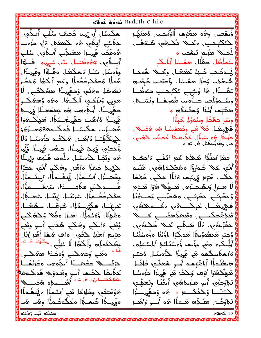Hudoth c'hito . مِگْسِنًا. } جَسَنَ نَسِيَّ مِنْ الْمُسْكُمَّةِ. وُمْهَي. وِ۞ُه هِكَبْهَا لِلْوُٱلْحَيا. هُهْلُهُ: لْمُتَكَبِّدِي. هَكْلًا ضُلْعُوَى هُـتَوَفَّ. حَكْتُبِي أَبِدُّورٍ هُوَ كَعِعْكُمْ. قُلْ حَزُّومِ | أُصْلا هزُمو تُنقَّص \* رْهُوقْفُ فَيِيءُ الْمَعْكُمِي أَيِـدُّونِ. مُنْأَبِ أَيِّدُونِ وَوَّوْمَعُنْدِ فِّي شَيْءٍ ۖ هَذَاوَّا ) مُعاُمُل. حمُلًا. ممُسْلِ أَلَمْكُر وِؤْهِمُلْ. مَثْلُ هَهْكُعُلْ. هِقَاَوْۤا وِفَيْحُوْا. أَمْ عَصْحِب حَـٰهِمْ كَعَنْقَـا. وكَـــلا هُءكَـا هَٰدمُاْ هَحثَدْحُحُمْإَا وكَم أَكْشَا هَحكُ: شَكْكَابِ وَحَزَّا هِمُسُلْ. وَأَحْتَصِبِ حَرِثْنِهِ لُعْدَهُا. وَهُنَّى وَحَفَّىٰ الصَّحْكَبِ . لَٰا كَمُسْأَلِ 10 وُجَّىب كَلَائِصْتِ حَدَّمُسَا مدْمِي وَبَنَّسُمِ لَّالْحُــةُا. 50ه وَمِدَةَ حَـــر وِمِنْــوْلُمْتِ حــزُومب هُومِــُــا وِنُسْـــد. هِجَرْهَا أَلَمُواْ وَهِشَدْاً وَ \* حَصِّي-أَا أَحِدُّه مِنْ مِنْ مِنْ مَنْ الْمَسِيْمِ فَي أَ أَمُكُم: حَفِّي تُتَسَمُّوا. هُوَكَتْ هُوٓوا **﴾ ومَمَّرِ حَمَّحًا ومُتَوَوَّلِ** كَبِ*دًا* ﴾ هُمِيزُما هَكْسُلُ هُمِكْتُمْ \$ مَلْأَهُو فَيْهَدًا. قُلّا هُم وحُمْهُسُا هُو هُمُّسْلاً. ) دَمَجَّالٍ وَمِ مَيْرِيُّالٍ. كَجَّسْهُمْ كُصِبُوا حَدَّبَ حَلَّوَى .<br>) د. وَهُوَيَّسَمُتَا. وَّ. ثَلا م لْمَحْكَمُ مُكْتُد. هَكْثُم حَزْمَنْا هُلَّا سَلَوْمِ الْمَرِهِ صَحْبٍ أَمْرِهِ مَجْرَةٍ وَجَعَدَلَم هُه وِنُبْلِ جُوْمِنُهِا. وَأَوْمَ فُنْوَهِ وَيُطْلِ َ حَمَّا آَحَتُّمُ! مَحَلَّهِ ـَمَحَ اِنْقُبِ ۚ هَ/حَمَّـهِ لْحَيْكِمْ شَعْزًا هُ/هُدَ. وهُكْبٍ أَنَّهِ حَكِّبًا | أَلَٰهِ كَمِلا شُمْرُوْٓا مَعۡطَـٰدُدُهُۚاۭهُوَبِ. فَلَسُم وحْهــزُا. اُنتَــمِلَاا، يُعفَــمِلَا، رَجِعتَــمِلَاا، حكْت. قَتْرَمْ يُءَهَبُ قَالِمًّا حَكْمٍ. خَرْتُهُا لًا مدءٍل وُبِمُبْحِبْرُهِ . مَنْ هُلُا هُوْا مُدْرَم حكَدْدُدَيْهِ)، عَنْتُما، عِسْمًا، عَعْدَوْا، وَحَدَّرَبَّبِ حَدَّرَبِّبٍ . وَهُدَّنِبٍ وَجَدَّهُنَّا تَدِبُّــل هَكْيْـــهُلُّل هْتِهْــل مىعُعُــل فَكِي هُــا. كْبِكْـــەُ بە مُـــەللاھُ ب ەھْھِلًا، وَّەُحُمْلًا، اھُدًّا م<sup>ِ</sup>طَّلا وَكِل*اھُ*كُب ھَكٖهُدگَسبِ . ە ھُمكَامدُسبِ كَسَسلا وُهْبِ هَاسْكُمْ وِهُكُمْ هُدًى أُسْرِ وِهْمِ لحَتَّبُوثُهن. وُلَّا هُمكَّبٍ كَمِلا صُلْحَقُهن. هَبْـم أَهنَّهِ لِحَقُوبٍ. هُ/ف هُـمُّل أُهَٰذِ }نُلُ.<br>وِهِمَحْدَّدَهُ[و وأكْدُهُ] لَل مُنهَّبٍ. كُنَّفُتَا. قُ. ثُمَّ أَوَّحِبَ هَٰذَهُوَمِّهِۢا هَٰذِكْرَا لَمَخْتُلُ وَذُمُنُكُمْ ا ٱبٱلكره هقع وذَّلَها وْهِمْنُائِكُمْ ٱلْمُسَرِّبُهِ . ة/هكَسكْفه مْع فَيْ الْمُؤْمِنُ الْمُحْمَدِينَ ۔ ەھُب ۆدھُكْىب وُەھُــُّۃَا ھەھُـكـــر. حَرَضَــــلا حَصْفـــزُا أَلَجُوهب وحَزْنُهُـــا هَ حَقَّداً أَلِمَّ مِ أَبِ هَعِنَى دَّاقُ!. ككُنفُل للصَّب أَسرِ ومَحدَوُلا قَدكُدهم<mark>ٌ</mark><br>لحقَّقُطْفِ اللهِ فَيَدُّ أَمَّنَ مِلْهِ لِهُدَّسَلاً <mark>:</mark> هَدِيْدَهُوۡ{ ٱوٖۡڡَ وَحۡكَٰٓ هَٰٓ فَيۡہَٰۚ} حَنُّوسُـٰٓ { لَجْوَحَنُوبِ أَسِ هِنُمِهِ هُوبٍ أَمَثَتُنَا وِلْعَدِيَّسِي لمُسْتَسْلَر وَحَفَكَتُ مِنْ وَهُ وَحَقَّى أَرْ اَلْمَوُهَنفُو وحَافِكا هُبِ ٱلنُّمَا اِ مَ لَكِنفُما ا دَهْيِ جُلاَ شَمْجُلْ دَخْدُهُ شُمْلًا وَهُ مَنْ أَنْجُوَكَــٰ: ۖ هنُــٰجُ(a هَـٰـٰمَـٰأَلِّ (a) أُســوِ وْأَهَـٰـٰ; سَلَفُتُهُ مَهُومٍ وَكَاوُنُكُمْ  $\frac{15}{15}$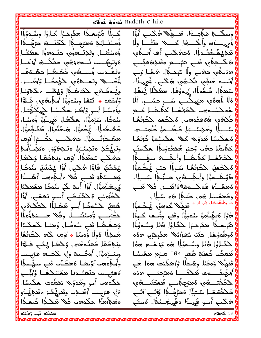Francis Hudoth c'hito وَسِكُّمٍ فَأَوْسَنَةٍ. تُعْلَّى هُكْتَبَ أَبَالَ كَرِمَا هَرَمِهِـدًا هِدَرِدَ ٖا كَـاوُا مِنْـووُلَا ا .<br>وُّەممُكْسَلَّدْمِ هَمْرَجِـــدُمَّا ۖ حُكْتَسَـــةَ حَرَّجُـــدُمَّا وْهِي أَنْ وَأَحْسَنُهُ! حَسَبُ حَتَنُا وِلَا وْݣُومْنُشْمَا. وِلْجْشَّدْوْوْمِ حَشَّدْوَوْا حَقَّكْتُمْا هْدِلِمُشْعُنُـه إُل. هَدهُكْـب أُف أَيــدُّه، ەُولُرېگىسىي ئىسەۋەۋەپ چېڭىلىن آرۇڭىيا هُكْبِجِمُّهِ هُبِ هَبُسِمِ وَهُدَاهُ فَجُسِبِ ههَنفُور دهَبِ وِلَا تَبْنِيهَا. هُمُا وَب ەتقىمىي ئىسىۋە كەئىھا كەتقى أَنَّسه هَلَيُّهِ وَكُلْمُوهِ وَهُكُمْ . فَهَيْدًا، أُصْبِي وتَعَـٰهُ\$ُٯَى حَجُّوصُـا وَٱهُمــز. مْعَجْلًا، شَعْفُمْاً، يُحوَّفُا، مَعْكُلًا هُمَّاً. وهُءهُده سنَّهُمْ أَمِّكْتَبْهُمْ وَالْمَحْسَنَةِ وَالْمُتَافِرَةِ كَالَا الْمَوْمَى هَيْكُمْبِ مُنْسِرِ صَنُسْرِ. ٱلْلَّا وَٰاٰ نَقْمًا وَمُدَوَٰٓءًا أَيْجُنُّونَ وَ فَاوَّا وِفْعِمْا أَسِرِ وْٱهْدِ هِكْسُا جِيكَتْمَا. مُعَدُّلٍ، مَثَوْمِلًا، حِكْفُلٍ، هَيْ زَٰلٍ وُْمِئْلٍ، طَّهُمِ ، هُەَ هِجُمْهَـدٍ. هُكَلَّـمُمْ كَخَرْتُمُّـا حَشَىعُومُا، هُحُومُا، شَع*ْنُوماًا،* مَحْمَجُومُا*ُ*، ههُدَاتُـــدلَهُ . دەُكْـــــــ حَثُـــــــــْزا ٱوْهـــــو كَمْكَسُلْ هُدَوِّيْ كَيْلا مْكَسْتُدْ دَرْهُا كَذُبَهُا حَقُبَ وَحَبٍّ هُدَهُوَيْهِ الْمَكْسَبُ وِتْرِيُّكُمْ ەَتْمِمَّـبَةْ ەَلْـكِلاَكُوُوْ. ەَكَذَّىـرَاُّلْمِ لحَدَّبُهُــا حَدَّمَــهُــا وأَحدِّــــة مجَـــمدًا حەُكْب عُـوَتُد\$ا. ٱوْهـَ وِتَدِكُهْـا وَحْــهُـا أَهْكَنُّهُمْ لِكُرْتُهُا مُتَّبِهُّا كَتَبِ فَمَكْدَهُّا لِكُسُّهُ قُاةًا هُكُم . أَذًا لِكُسَّهُ مُعَصًا وَهِــــمَكَّوْ هُـــــى شَلًّا ه/َــكُوهوب أَهُــــزُا وَأَوْجَعْهِ وَلَيْ الْمَجْمَعِينَ مِنْ أَجْمَعُ الْمَسْبِهِ أَلَّا. يَ هَدْوَواْلِ. أَوَّا أَسْلِمَ لَكُنْ مُنْوَجًا مِنْقَصِلْنَا ۖ ەَھكَسَزَةِ قَوڭسەھ؟ەُ/هَسىز. قُلا هَب لَكْتُومًى هَكْفُنُهُمْ أُسِرٍ تَعْفَى. أَوَّا وكَعفِيسُا وَي . حَبْدًا وَي مَبْلًا .<br>- وهُوَّيضُنَا وَي يَن مَنْ هُوَيْلا يُدوونُ لِمُحْسَدًا هُمنَى حَسَّمَطْ أَسِ مَهْلَكًا حَضَّحَةًى حَدُّبُهِـــبِ وَّدْمِمُتُنَــــأ. وفَلا محــــــمُحْوَّدةُ أ هُوْا هَٰلِهُـنُوما حَنُوفُا وَهْلِ وِفُــِّفْ كُـبِلَا وَهِقَبِهُا هَي مُهجُا. وُهنُا كَمكَّ؛ هَّبُعِـدًا هِدَ حَـزَا حَكَـاوُا هُـُا وِمُـووُلًا هَٰىجِلًاا هَوِلًا وُّەمْمَا ﴾ ٱوْها لَاھ للصَّرْبُعُا أَهُوهُووُهُا. حتّ مُعزَّامُلا هذَبِنبُو 60\$ه وِلْدِّكْهَا كُعِنُّەمْدە . وَحْـٰهَا لِكُب قَـٰاوْٓا لْكُتَاوُا هُلَا وِمُحَدِّدُاْ هُءَ وَذِهَبِ هُءَا وسُــرُه أِلّ أَهتَــمهِ وَإِلا كَتَـــهِ فَرَّبَـــمــ هُدهَكَ جُمْلَةٍ مُعْمِ 164 هـزْمِ مَعْسَلًا وٱلدُّ٥٥ڡ ٱوُّٮڞًا هَ مَحۡـَـَّات هُـــ مَــقُــمدُّا |هُدِيُّلا وُءكُنَّا وهُمطا وْ/هكَانَت هوَّا هُبِ هُ هُبُست حِنْتَفَشَدْنَا هَمُتَنَكُفُ أَوُّا إِنَّا الْمُحَمَّدُ لمكّدهم أس وهُدوَلا مُعفّدت هكْسُلًا. لْكُلُّتْــْ ۞ي هَ مَدْجِكُمْــب مَحْقَنَــْ ۞ي كَحْثَمْهَا مَنْتِهَا ۚ هَحَرْجُــٰهَا وَّائَبِ آتَبِ ة)، فجَبِــب أَهَـــدًۭب وِهْدِئِيَكَــ; هِ هُدْيَلَــَ;و وَهْلِمُأْمَنُ الْمَكْدُوبِ ثَلا قَتْلَكُمُ الْمُسَلَّمُ أَهُكُب أَسَرَ فَي أَسْرَفُهِ أَسْرَ أَسْرَ مِنْكُمْ أَسْتَكُمْ أَسْتَنَاءُ الْمَسْتَنَاءُ الْمَسْتَ سَلَفُتُہ نَہُد کُلوں کے مُنگ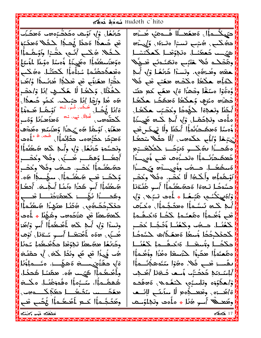Francis Hudoth c'hito كَرْتُغَا. وْلِي أَوّْسَكَ دَكْتُرُهِ هَتْ دَهْكَات حَيْكُ وَلَمْ الْمُعَمَّدِ لَهُ مِنْ مَنْ وَلَمْ يَدْرُو هْمِ شَـٰعِدًا هَٰحَدًا يُصِدًا لِحَـثَلا هَمْكَـِّذ دەككىم . مۇشىم ئىسترا دقنة كىل ش لْحَـفُلا. شُكْبِ أَنَّــْ لِحَتْــْ أَوْفُحُــٰهِ أَا هيَّــــــــــ كَــمعَنْــــل مقدَّمٍ وَقَدْ الْمَـــمَّــّـتَسْـــل وَوَهَنُو اللَّهُ وَأَوْلَى مَثْلِ الْمُؤْمِنُ وَقُولًا لِمُؤْمَرُ لِمَ وهَٰتَـٰدُـٰه ثَلا هَٰتَبُـب هُنفَنَّـٰهَ لَعْنَـٰهُ مَسْهَٰلا ەقىمكىكىنى ئىلما كىتىل ەھكى هعْدُهِ وِهُـ;وْهِي. وِتَسْأَلْ خَرْبُهُـٰلِ وَلِي أَمِيْهِ حَذَّرًا همَّنوَّى هَي مَحكمًا هُنسُمًا وُ/هَــٰ: لْحُمُلُوهِ مِكْتُدُا مِكْتُبُهُ مِكْتُبٍ مِّنْ ثَلا لِحْفُتْلَا. وَحْهُا لَّا هَكْتُنِي إِبْلَ وَ/حَصَّرِ |وُهَٰٓؤُوْا مِنْظُا وِحْھُزًا ۚ }} هِمّي كُمْ حَتَّ هَ مُعا وَرُجَا إِنَّا حَبْـــْــ. كَـنبُو خُـمكُا.<br>ةَانَّا هُحُــا. <sup>مَّــكَب تُــر. بُـــه أَوَّــصُــا مَّـــوزْلِم<br>كَـْحَتَّموم . <sup>مَّـذِال</sup> بُــي بُــه مَعدَمحـزُنًا وَمَّــرِ</sup> أَحْمَآه مَـُوَفٍ وَحَكْمًا هَمْمُكُـٰ: حَكْمًـٰا أَمكُنُا وِتَعِجْدًا حَجُّودًا وِحُدِّجَت حَكْمُدًا. هأهب وتدخَصًا. وَلِي أَسْمِ كَسْهِ هَيْهَ بَهْلِ .وُّەممُا ەَھھُىتُوْشُەمُّا أَمثَنُا وِلًا نَهكَى مَن هِمُّزْوْ. أَوُّىعُلْ 6َهِ كَحِزًا وَهُنَّمِكُمْ وَهُوَاْفِ هُهرُجُ; حكُرُه٥ڡ حَكَالُه}ُّا. <sup>هُت. هُ</sup> \*لُهِ ص أَيْتِهَا وُٱلْمِ حكَّدهب. ٱللَّا حفَّلا مْتَحَمَّا ُەھُد\_ُرُا بەُكْبِ ەُبَكَــز كَحُكْشَــْزِم وتَحِشَوه حَرْبُهُا. وْ} وأَسْلِمْ لَكُلَّهِ لِأَعْظُمُهُمْ أَ أُدِهُـــا وَقَصَّــرِ هُــــَيْ. وِثُلا وِكْتَـــرِ كَعكَمحَرَّتُــملَّا هنْدــزَّەها هْب وُّهرساُا حەَّمِعُنَّـٰہ ۖ اُلْحَـٰـٰبِ. حــەُڡ وِثَىلا وِحُصَّـٰبِ أَمْسِقُعُكِ الصَّرِينَ وَوَّى الْمَسْرَةِ وَلَيْحِكْمَ الْمَرْكَةِ اَوۡعَمۡاَء واَحۡدَہُا لَا حُصۡرٖ. ہفُلا وحُصۡر وَحْكَـــز قْبَ &ْتْعَلَّـــْمِهْلَ. مَنْهُـــْمَةُلْ رَهُهَ. رَهُ حِمْثُمْ إِلَّا أُسِ هَدُا رَآمَنُا أُسْؤَسِرَهَ. أَحمُدا حسَّمَحُـا نَــ90\$ هَجهَـمَعُنَـملًّا أَمــو هُنَّـةِتَا وهُدسُوا نُهُر خلائق كَمَعْ وَسْرِ الْمَسْرِ رَاءَ بِهِيْكُمِ هَٰذُهُ الْهُمِيْنَ صِنْكُمْ وَلَ حَفَكْرِحُحُدِهُٯِ . هُكَنُـا هنَجِـّ;ُا هَمَعُنُـمِلًا أَبِي كَنْ شَيْئَ وَلَمْ وَهَدَيْ وَلَمْ إِنَّ وَكُنُوْفَ هْبِ وُهُــٰٰهِۢۢا وهُـعْـُـٰمِ ۚ كَلَّـٰا وَٱكْـفُـٰمِ! لَكْعَدَهُ بِعَمَا هُمْ حَتَٰذُهُ وَحَدَثَهُ أَوْ الْمَحْمَلُ مِنْ الْمَحْدَ وتَسْأَلُ وَلِي أَسْمٍ حَكْمَ أَهُتَمَعُوذًا أَسِ وَاهُدَ لْكْفُسُلْ. حــِثُوب وكْفُسُلْ ذُكُنُوسُلْ حُصْبِر هُـــَوۡ، 500 لَمُّتَعْــا أَـــو عَــٰۃثاً. ٱوۡڡ كْحِنْدْرِحُدًا وُسِعُدْ هَعِمَدًا)ها لِمُنْوَجُدْ حكْكُم وتُسعْمَلْ وَانْحَدْهُ وَإِحْمَٰلُهَا وحُزْنُهُا هِهَ عِمَا نَجْوَهَا حَكَمَّحْقَهِا عَمْلًا وهَمْدُوبُوا مِحَرِدُا ۖ حَتُومِهَا وَهُدًا وِذُهُدوبُا هُ۔ فَي\ًا هُم هُم ونُكُل لَكُهُ . ﴾ حقَنُـه لْأَمْلُوكَ مِنْ مَسْرَةٍ مُسْتَدِرَةٍ مُنْ مَسْتَدَمَّ مِنْ مَنْ مَسْتَدْمَةٍ مِنْ ىغَــــز قْــــى ثَـلا. دەُوٓا مَنُدْھكَلِنَــدلَمَا ٱلمصَّلَاءِ حَدَّـٰٓئِم وَّـــ قُـــةَ لَــٰٓةَ لَمْـَـٰٓدِم وِلۡهُـمُدِّـمِلَا هَيۡب ۞ه. محمَّنُـل هُحَدًا، هُهِمُّـهِ٪ًا، مَـُـرُّه اللهُ مُهْرَمُنُـا. مكْــرَه وْاْهِلُمْؤُوْهِ وِلْلْمُدْمِنِ لِكَنْفُوهَا. ةَ20هُدُو ةَاهَدِ: وِهْتَعْدِيُّوهِ لَا سِيَمِّبَ لِإِنْسِ وهَٰثَمَثُما اللَّــمِ الْمُمَعْــما الْهُصَّــح شَــم وهُعنانًا أُسر هُلًا \* هذُه وَاهِد وَنَجْلُؤَسِينَ سَلاَقْلُہ ذَہْب رَہُوْسُہ  $\pi$ d $\sim$  17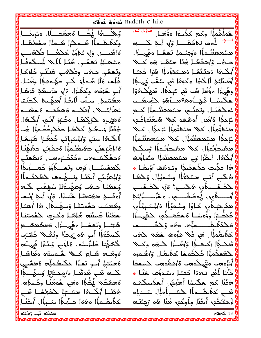Hudoth c`hito نُه kُه لَهُ kُ

وَحِلَّـــوَٰا لَمِحْــــا هَمحمَّحــــلَّا. وتَرِحْـــا وكَدُّىغُىماً اللَّهُ مَنْ اللَّهُ مَا اللَّهُ مَعْهُدًا. ةَأْهَبِ: وْلَى مُكْفَظٍ مُحْكَسَةً صَّلَاهُ مِسْمٍ متعنِّهِ تَعْمُى. هُنُا لْمُلَا لَمَسْكُمْفُا ونَعْفُر. حَـهُـَ وَثَكْلُهُـج هَنْتُـر خَاوْجُـا كُلْم هُلْا هُدهِ أَوْ حُكْسٍ حكْمَدهِ الْإِنْفُسُلَ. أَسِ هَٰٓ;َدُه وِكَذُّبًٰا، ۚ أَ﴾ دَٰٓ;معَكُمْ دَٰٓ;هُـا ههَشمِ . سأب لَّاحُا أُههُمِ لَاحتَت مُعزُّرُهُ اللَّهُ , أَصَلَتْ هُ هَجُدَتْهُ هُ هَعْلَتْ ەَھىرە كَرَبْكْشا. ەكْبَرْ أَنُّمِ أَكْسُوا. رَّەْتُىلْ وْمىكَـــا كَــلانْمَــا حَـقْـلارخُــدَّــما الله م لَّالْحُدُّا سِفَ وْالْمَبْلِيَّ كَحِعْبُا هَبْسُا ة/لمكَبْعَبُ حمَّضُنَّه}ا هَحفَّنَبَ حمُّهُنُـا ەَحفُكْسُـەھ ەَحَدَّكْــَرەھ . ەَىكَـقَبْ كَعِمُسُـــا. ٱوْهَــ وِتَمـــكَاؤُوْ خَهـــزُنكَٰا وْابْاهَنْتُ أَمْثَلَا وِتْسِهُْءَفَ لِلْعَلَاشُمِلَا أَ وَحْكَنَا حَامَٰتَ وَعَهَّــَّاْتَا مُهَفَّبٍ لَكُــٰهَ أَهدُعِ هِهَتِعِبْلِ هَزْتُوا. 10 أُمِي إِنْكَ وهُعمَنَــد حَمَّدَ نَقْدَا وُسَهَّــدَٰمُ أَنْ أَهْلَــلَّا مُ مَعَنْنُا حَسِسٌ هَاهَا مَحْوَدٍ لِهُمْتَنَا هُ:تما وِنُعِمُــا وفَي ألَّ وَمِنْهُمِنْهُـــمِ لْحَسْتُنَبُّواْ أَمِرٍ هَوَ يَحْزَا وِنُصْلًا هَاتِبَت لْحَقّْهُمْا هُلْزَٰنِشُو . هَٰلَوْبِ وُسُـٰٓرَٰا هَٰيٰ آه ەُوقىسە ھُـــام كَـــىلا ھُـــمىنە ەھَاھْــا ەَھىنْتِها أَسر تعبُّا ھكْتْھاْھ ەَھقىپ لْحُــدِهِ هُــوَ هُــوَ مُــوَى مِــوَّىٰ الْمَعْمَىٰدِ مِــمِّــمِّهِ الْمَ هَ مَعْمَدُ ﴾ لَحُدًا وقب ۖ هُومُنَا وحَــدَّةٍ و. هُكَنُـا أَكْــهُا هِمَــْبَهِ كَكَنْهُـا مْبَ كَكَتْحَمَّدَيُّا وَوَّةَ الْحَنَّدِيُّا مِّنْظِيْاً. أَيْضُلَّلْ

سَلَفُتُهُ مَهُومٍ وَكَاوُنُكُمْ

هَدَاُفُواُ الْمَحْمِرِ حَدَّمَــٰٓزَا وَوُهْدَا. <sup>قطال</sup> أ همّتهها ووَجِئْداً لِمَعْدَ وَفَيْءَ!. حــهُــ وْاهِخُعُــا هُلَا هنَعُــ: هُ٥ كَـــلا أَكْتُوا وَحَتَنَعُا وَمِنَكُمْ وَفَاءُ الْمَوْا حُمْنَا |أَهَّسُلُهُمْ لَلْكُلُّهَ| مَحْزَهُ| شَي سَقَّبٍ فَي جُلَّا وِفَيءُا هؤُهُا هُب ثَبِي مُ مُحِلًّا. هُوَكُلُّهُوْا لمكتشبا فهاؤهه متأرةو لمؤتمك حُمحَدُنُــا. وتَعتَــم محمّنهمنُــْـملّا حَـــم سَّدِدُا هُ/هَ: أَه هُهو كَذَا هَ هُشُهاشُه همَدْوُولًا. كَمِلا همَدْوُولًا مُرْحَدًا. كَمَلا عُكِمُا مِسْمِعِسُوبُا. كَلا مِسْمِعِسُوبُا |مدهّىدُ;نَّه إُل. كَملا مدهّىدُ;نَّـه إُل وَسكَّــهِ |أَلَكْ16ْ. أَلمُنُ¦ وَبِ هِنَعْعَقْلُهُ أَلْ هَ مُهْلُوَنُه هُا دِمُوب حكَمِنْدِمُ! وِحُوهُد أَوُحِصًا \* اهُكُب أَنَّبِ هِـنَكَاوُّلًا مِنْـَـوُلًا. وَكَعُـا لمَضَمَّــمهُ وَ الْمَـــبِ؟ قُلْمَ لَمَشْمَسَــبِ أَيْـــــأَهْم، هُــَــدُــــــــوْ مِــدُّ مِــدُّ مِــدُّ مِنْمَـــــــوْ أَمَّــدٍ هكَبِدَبَـدُهِ كَـاوُا مِنْـدوُلُمْ وَالمِنَــبِلِلْهِ كَتتُبْ وَوُّدَسُا هُمْتُعَــدُّهِ ۖ كَفَيْ—َءُا ەْكْكُلْمْشْــــەلْمْ، ەھْە ۆكخْــــــــ | كَكَنْتُمْهَأَلْ. شَ قُلا قُنُوها هُفَلا كَلَّهُ هَكُمُّا ائْدَهِــٰهُا وُٱهَّــٰٓءُا كَــٰهَٰهِ وِكَــٰلًا لِكَعَمْهِ أَمْ الْكُدُهِ هَٰلَ كَذَّبَهُ أَنْ وَاتَّقُوهِ أَخْوَهم مَقْهَدُه مَعْدَهُ مِنْ الْمُسْتَوَامِينَ كُنُّطُ لَمُّعَ نَـْ169 كَتْسَا مِنْـُـدَوُّتَ هَنَّـا \* ، هُكُمُّا كُمْ حَكْسُلُ أُهْبَنِّي. أَحَكَمْسَكُفْ هَبِ حَدَّمَتُ ولَمَّا حَسَّبِهُولًا. مَصَبِهِ أَوْحَسُّتُم ۖ أَمَثَلُ وِلْمَوْحُم ۚ هُلُ ۞ه رَحِسُّه  $\frac{18}{16}$